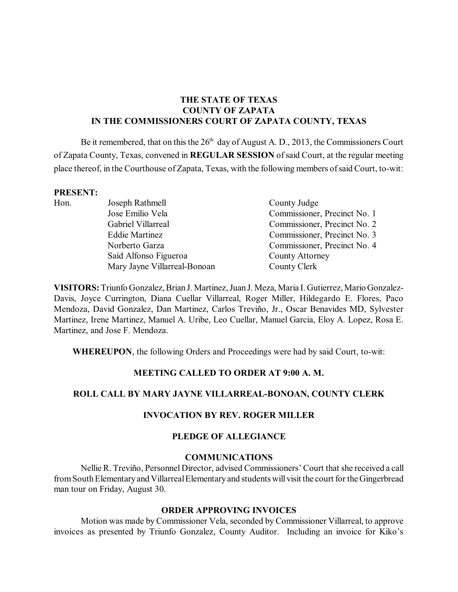# **THE STATE OF TEXAS COUNTY OF ZAPATA IN THE COMMISSIONERS COURT OF ZAPATA COUNTY, TEXAS**

Be it remembered, that on this the  $26<sup>th</sup>$  day of August A. D., 2013, the Commissioners Court of Zapata County, Texas, convened in **REGULAR SESSION** ofsaid Court, at the regular meeting place thereof, in the Courthouse of Zapata, Texas, with the following members ofsaid Court, to-wit:

#### **PRESENT:**

Hon. Joseph Rathmell County Judge Jose Emilio Vela Commissioner, Precinct No. 1 Gabriel Villarreal Commissioner, Precinct No. 2 Eddie Martinez Commissioner, Precinct No. 3 Norberto Garza Commissioner, Precinct No. 4 Saíd Alfonso Figueroa County Attorney Mary Jayne Villarreal-Bonoan County Clerk

**VISITORS:**Triunfo Gonzalez, Brian J. Martinez, Juan J. Meza, Maria I. Gutierrez, Mario Gonzalez-Davis, Joyce Currington, Diana Cuellar Villarreal, Roger Miller, Hildegardo E. Flores, Paco Mendoza, David Gonzalez, Dan Martinez, Carlos Treviño, Jr., Oscar Benavides MD, Sylvester Martinez, Irene Martinez, Manuel A. Uribe, Leo Cuellar, Manuel Garcia, Eloy A. Lopez, Rosa E. Martinez, and Jose F. Mendoza.

**WHEREUPON**, the following Orders and Proceedings were had by said Court, to-wit:

#### **MEETING CALLED TO ORDER AT 9:00 A. M.**

## **ROLL CALL BY MARY JAYNE VILLARREAL-BONOAN, COUNTY CLERK**

### **INVOCATION BY REV. ROGER MILLER**

### **PLEDGE OF ALLEGIANCE**

#### **COMMUNICATIONS**

Nellie R. Treviño, Personnel Director, advised Commissioners' Court that she received a call from South Elementary and Villarreal Elementary and students will visit the court for the Gingerbread man tour on Friday, August 30.

#### **ORDER APPROVING INVOICES**

Motion was made by Commissioner Vela, seconded by Commissioner Villarreal, to approve invoices as presented by Triunfo Gonzalez, County Auditor. Including an invoice for Kiko's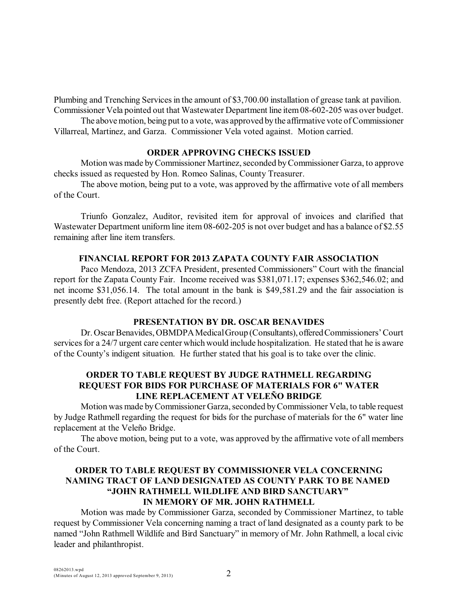Plumbing and Trenching Servicesin the amount of \$3,700.00 installation of grease tank at pavilion. Commissioner Vela pointed out that Wastewater Department line item08-602-205 was over budget.

The above motion, being put to a vote, was approved by the affirmative vote of Commissioner Villarreal, Martinez, and Garza. Commissioner Vela voted against. Motion carried.

### **ORDER APPROVING CHECKS ISSUED**

Motion was made byCommissioner Martinez, seconded byCommissioner Garza, to approve checks issued as requested by Hon. Romeo Salinas, County Treasurer.

The above motion, being put to a vote, was approved by the affirmative vote of all members of the Court.

Triunfo Gonzalez, Auditor, revisited item for approval of invoices and clarified that Wastewater Department uniform line item 08-602-205 is not over budget and has a balance of \$2.55 remaining after line item transfers.

#### **FINANCIAL REPORT FOR 2013 ZAPATA COUNTY FAIR ASSOCIATION**

Paco Mendoza, 2013 ZCFA President, presented Commissioners" Court with the financial report for the Zapata County Fair. Income received was \$381,071.17; expenses \$362,546.02; and net income \$31,056.14. The total amount in the bank is \$49,581.29 and the fair association is presently debt free. (Report attached for the record.)

#### **PRESENTATION BY DR. OSCAR BENAVIDES**

Dr. Oscar Benavides, OBMDPA Medical Group (Consultants), offered Commissioners' Court services for a 24/7 urgent care center which would include hospitalization. He stated that he is aware of the County's indigent situation. He further stated that his goal is to take over the clinic.

## **ORDER TO TABLE REQUEST BY JUDGE RATHMELL REGARDING REQUEST FOR BIDS FOR PURCHASE OF MATERIALS FOR 6" WATER LINE REPLACEMENT AT VELEÑO BRIDGE**

Motion was made byCommissioner Garza, seconded byCommissioner Vela, to table request by Judge Rathmell regarding the request for bids for the purchase of materials for the 6" water line replacement at the Veleño Bridge.

The above motion, being put to a vote, was approved by the affirmative vote of all members of the Court.

# **ORDER TO TABLE REQUEST BY COMMISSIONER VELA CONCERNING NAMING TRACT OF LAND DESIGNATED AS COUNTY PARK TO BE NAMED "JOHN RATHMELL WILDLIFE AND BIRD SANCTUARY" IN MEMORY OF MR. JOHN RATHMELL**

Motion was made by Commissioner Garza, seconded by Commissioner Martinez, to table request by Commissioner Vela concerning naming a tract of land designated as a county park to be named "John Rathmell Wildlife and Bird Sanctuary" in memory of Mr. John Rathmell, a local civic leader and philanthropist.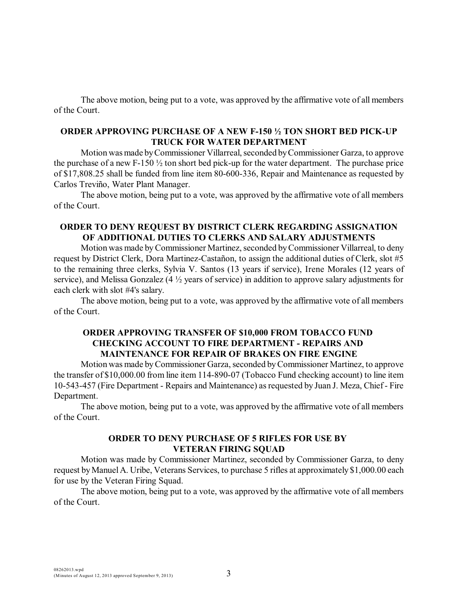The above motion, being put to a vote, was approved by the affirmative vote of all members of the Court.

## **ORDER APPROVING PURCHASE OF A NEW F-150 ½ TON SHORT BED PICK-UP TRUCK FOR WATER DEPARTMENT**

Motion was made by Commissioner Villarreal, seconded by Commissioner Garza, to approve the purchase of a new F-150  $\frac{1}{2}$  ton short bed pick-up for the water department. The purchase price of \$17,808.25 shall be funded from line item 80-600-336, Repair and Maintenance as requested by Carlos Treviño, Water Plant Manager.

The above motion, being put to a vote, was approved by the affirmative vote of all members of the Court.

### **ORDER TO DENY REQUEST BY DISTRICT CLERK REGARDING ASSIGNATION OF ADDITIONAL DUTIES TO CLERKS AND SALARY ADJUSTMENTS**

Motion was made byCommissioner Martinez, seconded byCommissioner Villarreal, to deny request by District Clerk, Dora Martinez-Castañon, to assign the additional duties of Clerk, slot #5 to the remaining three clerks, Sylvia V. Santos (13 years if service), Irene Morales (12 years of service), and Melissa Gonzalez (4 ½ years of service) in addition to approve salary adjustments for each clerk with slot #4's salary.

The above motion, being put to a vote, was approved by the affirmative vote of all members of the Court.

## **ORDER APPROVING TRANSFER OF \$10,000 FROM TOBACCO FUND CHECKING ACCOUNT TO FIRE DEPARTMENT - REPAIRS AND MAINTENANCE FOR REPAIR OF BRAKES ON FIRE ENGINE**

Motion was made byCommissioner Garza, seconded byCommissioner Martinez, to approve the transfer of \$10,000.00 from line item 114-890-07 (Tobacco Fund checking account) to line item 10-543-457 (Fire Department - Repairs and Maintenance) asrequested by Juan J. Meza, Chief- Fire Department.

The above motion, being put to a vote, was approved by the affirmative vote of all members of the Court.

## **ORDER TO DENY PURCHASE OF 5 RIFLES FOR USE BY VETERAN FIRING SQUAD**

Motion was made by Commissioner Martinez, seconded by Commissioner Garza, to deny request byManuelA. Uribe, Veterans Services, to purchase 5 rifles at approximately \$1,000.00 each for use by the Veteran Firing Squad.

The above motion, being put to a vote, was approved by the affirmative vote of all members of the Court.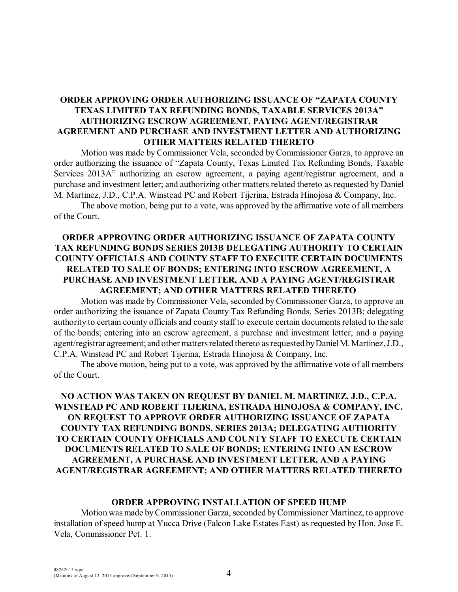## **ORDER APPROVING ORDER AUTHORIZING ISSUANCE OF "ZAPATA COUNTY TEXAS LIMITED TAX REFUNDING BONDS, TAXABLE SERVICES 2013A" AUTHORIZING ESCROW AGREEMENT, PAYING AGENT/REGISTRAR AGREEMENT AND PURCHASE AND INVESTMENT LETTER AND AUTHORIZING OTHER MATTERS RELATED THERETO**

Motion was made by Commissioner Vela, seconded by Commissioner Garza, to approve an order authorizing the issuance of "Zapata County, Texas Limited Tax Refunding Bonds, Taxable Services 2013A" authorizing an escrow agreement, a paying agent/registrar agreement, and a purchase and investment letter; and authorizing other matters related thereto as requested by Daniel M. Martinez, J.D., C.P.A. Winstead PC and Robert Tijerina, Estrada Hinojosa & Company, Inc.

The above motion, being put to a vote, was approved by the affirmative vote of all members of the Court.

## **ORDER APPROVING ORDER AUTHORIZING ISSUANCE OF ZAPATA COUNTY TAX REFUNDING BONDS SERIES 2013B DELEGATING AUTHORITY TO CERTAIN COUNTY OFFICIALS AND COUNTY STAFF TO EXECUTE CERTAIN DOCUMENTS RELATED TO SALE OF BONDS; ENTERING INTO ESCROW AGREEMENT, A PURCHASE AND INVESTMENT LETTER, AND A PAYING AGENT/REGISTRAR AGREEMENT; AND OTHER MATTERS RELATED THERETO**

Motion was made by Commissioner Vela, seconded by Commissioner Garza, to approve an order authorizing the issuance of Zapata County Tax Refunding Bonds, Series 2013B; delegating authority to certain county officials and county staff to execute certain documents related to the sale of the bonds; entering into an escrow agreement, a purchase and investment letter, and a paying agent/registrar agreement; and other matters related thereto asrequested byDanielM.Martinez, J.D., C.P.A. Winstead PC and Robert Tijerina, Estrada Hinojosa & Company, Inc.

The above motion, being put to a vote, was approved by the affirmative vote of all members of the Court.

# **NO ACTION WAS TAKEN ON REQUEST BY DANIEL M. MARTINEZ, J.D., C.P.A. WINSTEAD PC AND ROBERT TIJERINA, ESTRADA HINOJOSA & COMPANY, INC. ON REQUEST TO APPROVE ORDER AUTHORIZING ISSUANCE OF ZAPATA COUNTY TAX REFUNDING BONDS, SERIES 2013A; DELEGATING AUTHORITY TO CERTAIN COUNTY OFFICIALS AND COUNTY STAFF TO EXECUTE CERTAIN DOCUMENTS RELATED TO SALE OF BONDS; ENTERING INTO AN ESCROW AGREEMENT, A PURCHASE AND INVESTMENT LETTER, AND A PAYING AGENT/REGISTRAR AGREEMENT; AND OTHER MATTERS RELATED THERETO**

#### **ORDER APPROVING INSTALLATION OF SPEED HUMP**

Motion was made byCommissioner Garza, seconded byCommissioner Martinez, to approve installation of speed hump at Yucca Drive (Falcon Lake Estates East) as requested by Hon. Jose E. Vela, Commissioner Pct. 1.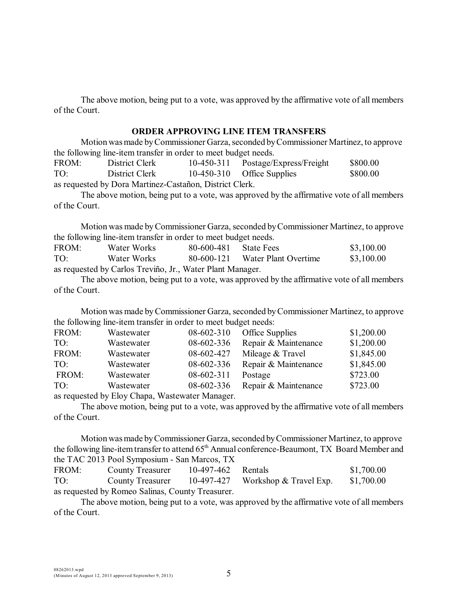The above motion, being put to a vote, was approved by the affirmative vote of all members of the Court.

### **ORDER APPROVING LINE ITEM TRANSFERS**

Motionwasmade byCommissioner Garza, seconded byCommissioner Martinez, to approve the following line-item transfer in order to meet budget needs.

FROM: District Clerk 10-450-311 Postage/Express/Freight \$800.00 TO: District Clerk 10-450-310 Office Supplies \$800.00 as requested by Dora Martinez-Castañon, District Clerk.

The above motion, being put to a vote, was approved by the affirmative vote of all members of the Court.

Motion was made byCommissioner Garza, seconded byCommissioner Martinez, to approve the following line-item transfer in order to meet budget needs.

| FROM:                                                     | Water Works | 80-600-481 | <b>State Fees</b>               | \$3,100.00 |  |  |  |
|-----------------------------------------------------------|-------------|------------|---------------------------------|------------|--|--|--|
| TO:                                                       | Water Works |            | 80-600-121 Water Plant Overtime | \$3,100.00 |  |  |  |
| as requested by Carlos Treviño, Jr., Water Plant Manager. |             |            |                                 |            |  |  |  |

The above motion, being put to a vote, was approved by the affirmative vote of all members of the Court.

Motion was made byCommissioner Garza, seconded byCommissioner Martinez, to approve the following line-item transfer in order to meet budget needs:

| FROM: | Wastewater | 08-602-310                                     | Office Supplies      | \$1,200.00 |
|-------|------------|------------------------------------------------|----------------------|------------|
| TO:   | Wastewater | 08-602-336                                     | Repair & Maintenance | \$1,200.00 |
| FROM: | Wastewater | 08-602-427                                     | Mileage & Travel     | \$1,845.00 |
| TO:   | Wastewater | 08-602-336                                     | Repair & Maintenance | \$1,845.00 |
| FROM: | Wastewater | 08-602-311                                     | Postage              | \$723.00   |
| TO:   | Wastewater | 08-602-336                                     | Repair & Maintenance | \$723.00   |
|       |            | as required by Flax Change Wasternated Managem |                      |            |

as requested by Eloy Chapa, Wastewater Manager.

The above motion, being put to a vote, was approved by the affirmative vote of all members of the Court.

Motionwasmade byCommissioner Garza, seconded byCommissioner Martinez, to approve the following line-item transfer to attend  $65<sup>th</sup>$  Annual conference-Beaumont, TX Board Member and the TAC 2013 Pool Symposium - San Marcos, TX

| FROM: | County Treasurer                                 | 10-497-462 Rentals |                                                      | \$1,700.00 |
|-------|--------------------------------------------------|--------------------|------------------------------------------------------|------------|
| TO:   |                                                  |                    | County Treasurer $10-497-427$ Workshop & Travel Exp. | \$1,700.00 |
|       | as requested by Romeo Salinas, County Treasurer. |                    |                                                      |            |

The above motion, being put to a vote, was approved by the affirmative vote of all members of the Court.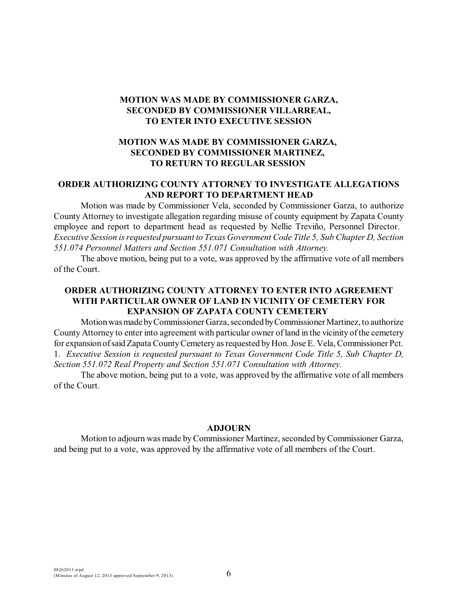## **MOTION WAS MADE BY COMMISSIONER GARZA, SECONDED BY COMMISSIONER VILLARREAL, TO ENTER INTO EXECUTIVE SESSION**

## **MOTION WAS MADE BY COMMISSIONER GARZA, SECONDED BY COMMISSIONER MARTINEZ, TO RETURN TO REGULAR SESSION**

## **ORDER AUTHORIZING COUNTY ATTORNEY TO INVESTIGATE ALLEGATIONS AND REPORT TO DEPARTMENT HEAD**

Motion was made by Commissioner Vela, seconded by Commissioner Garza, to authorize County Attorney to investigate allegation regarding misuse of county equipment by Zapata County employee and report to department head as requested by Nellie Treviño, Personnel Director. *Executive Session is requested pursuant to Texas Government Code Title 5, Sub Chapter D, Section 551.074 Personnel Matters and Section 551.071 Consultation with Attorney.*

The above motion, being put to a vote, was approved by the affirmative vote of all members of the Court.

## **ORDER AUTHORIZING COUNTY ATTORNEY TO ENTER INTO AGREEMENT WITH PARTICULAR OWNER OF LAND IN VICINITY OF CEMETERY FOR EXPANSION OF ZAPATA COUNTY CEMETERY**

Motionwasmade byCommissioner Garza, seconded byCommissioner Martinez, to authorize County Attorney to enter into agreement with particular owner of land in the vicinity of the cemetery for expansion of said Zapata County Cemetery as requested by Hon. Jose E. Vela, Commissioner Pct. 1. *Executive Session is requested pursuant to Texas Government Code Title 5, Sub Chapter D, Section 551.072 Real Property and Section 551.071 Consultation with Attorney.*

The above motion, being put to a vote, was approved by the affirmative vote of all members of the Court.

#### **ADJOURN**

Motion to adjourn was made byCommissioner Martinez, seconded byCommissioner Garza, and being put to a vote, was approved by the affirmative vote of all members of the Court.